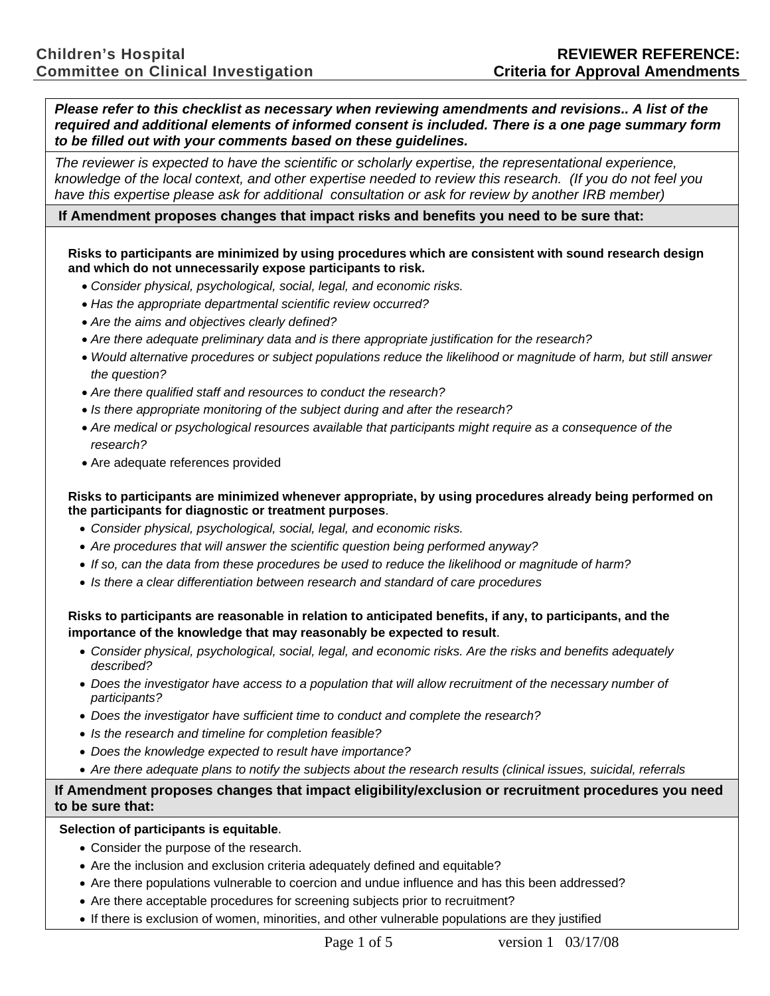*Please refer to this checklist as necessary when reviewing amendments and revisions.. A list of the required and additional elements of informed consent is included. There is a one page summary form to be filled out with your comments based on these guidelines.* 

*The reviewer is expected to have the scientific or scholarly expertise, the representational experience, knowledge of the local context, and other expertise needed to review this research. (If you do not feel you*  have this expertise please ask for additional consultation or ask for review by another IRB member)

## **If Amendment proposes changes that impact risks and benefits you need to be sure that:**

**Risks to participants are minimized by using procedures which are consistent with sound research design and which do not unnecessarily expose participants to risk.** 

- *Consider physical, psychological, social, legal, and economic risks.*
- *Has the appropriate departmental scientific review occurred?*
- *Are the aims and objectives clearly defined?*
- *Are there adequate preliminary data and is there appropriate justification for the research?*
- *Would alternative procedures or subject populations reduce the likelihood or magnitude of harm, but still answer the question?*
- *Are there qualified staff and resources to conduct the research?*
- *Is there appropriate monitoring of the subject during and after the research?*
- *Are medical or psychological resources available that participants might require as a consequence of the research?*
- Are adequate references provided

## **Risks to participants are minimized whenever appropriate, by using procedures already being performed on the participants for diagnostic or treatment purposes**.

- *Consider physical, psychological, social, legal, and economic risks.*
- *Are procedures that will answer the scientific question being performed anyway?*
- *If so, can the data from these procedures be used to reduce the likelihood or magnitude of harm?*
- *Is there a clear differentiation between research and standard of care procedures*

# **Risks to participants are reasonable in relation to anticipated benefits, if any, to participants, and the importance of the knowledge that may reasonably be expected to result**.

- *Consider physical, psychological, social, legal, and economic risks. Are the risks and benefits adequately described?*
- *Does the investigator have access to a population that will allow recruitment of the necessary number of participants?*
- *Does the investigator have sufficient time to conduct and complete the research?*
- *Is the research and timeline for completion feasible?*
- *Does the knowledge expected to result have importance?*
- *Are there adequate plans to notify the subjects about the research results (clinical issues, suicidal, referrals*

# **If Amendment proposes changes that impact eligibility/exclusion or recruitment procedures you need to be sure that:**

#### **Selection of participants is equitable**.

- Consider the purpose of the research.
- Are the inclusion and exclusion criteria adequately defined and equitable?
- Are there populations vulnerable to coercion and undue influence and has this been addressed?
- Are there acceptable procedures for screening subjects prior to recruitment?
- If there is exclusion of women, minorities, and other vulnerable populations are they justified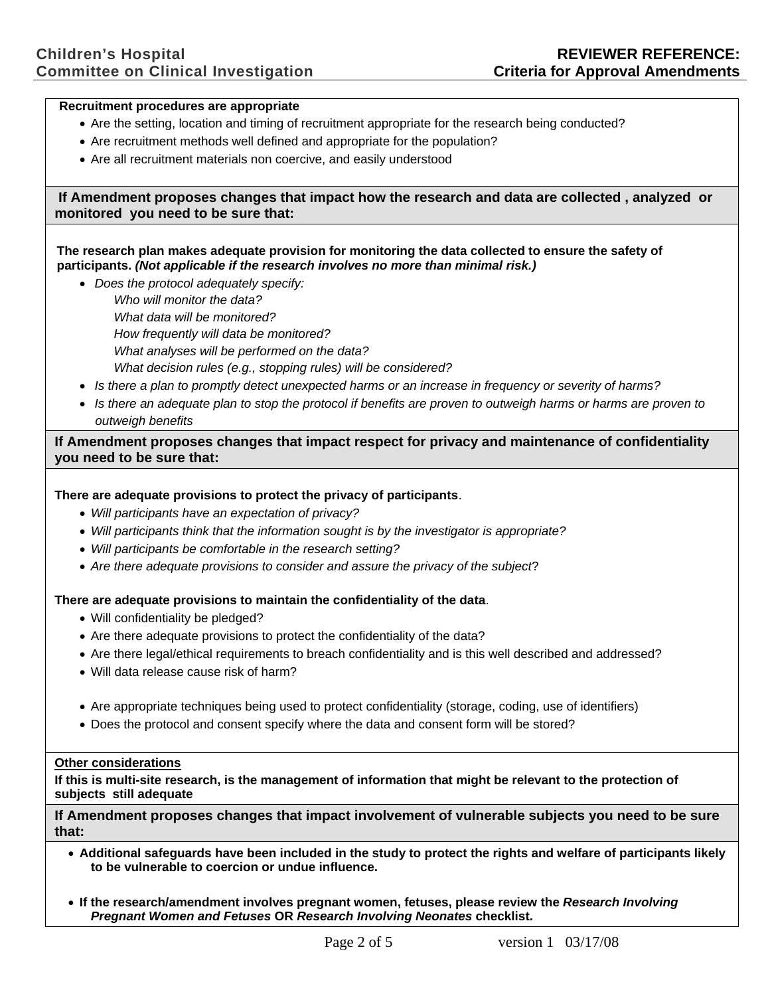#### **Recruitment procedures are appropriate**

- Are the setting, location and timing of recruitment appropriate for the research being conducted?
- Are recruitment methods well defined and appropriate for the population?
- Are all recruitment materials non coercive, and easily understood

## **If Amendment proposes changes that impact how the research and data are collected , analyzed or monitored you need to be sure that:**

## **The research plan makes adequate provision for monitoring the data collected to ensure the safety of participants.** *(Not applicable if the research involves no more than minimal risk.)*

- *Does the protocol adequately specify: Who will monitor the data? What data will be monitored? How frequently will data be monitored? What analyses will be performed on the data? What decision rules (e.g., stopping rules) will be considered?*
- *Is there a plan to promptly detect unexpected harms or an increase in frequency or severity of harms?*
- *Is there an adequate plan to stop the protocol if benefits are proven to outweigh harms or harms are proven to outweigh benefits*

## **If Amendment proposes changes that impact respect for privacy and maintenance of confidentiality you need to be sure that:**

## **There are adequate provisions to protect the privacy of participants**.

- *Will participants have an expectation of privacy?*
- *Will participants think that the information sought is by the investigator is appropriate?*
- *Will participants be comfortable in the research setting?*
- *Are there adequate provisions to consider and assure the privacy of the subject*?

#### **There are adequate provisions to maintain the confidentiality of the data**.

- Will confidentiality be pledged?
- Are there adequate provisions to protect the confidentiality of the data?
- Are there legal/ethical requirements to breach confidentiality and is this well described and addressed?
- Will data release cause risk of harm?
- Are appropriate techniques being used to protect confidentiality (storage, coding, use of identifiers)
- Does the protocol and consent specify where the data and consent form will be stored?

#### **Other considerations**

**If this is multi-site research, is the management of information that might be relevant to the protection of subjects still adequate** 

**If Amendment proposes changes that impact involvement of vulnerable subjects you need to be sure that:** 

- **Additional safeguards have been included in the study to protect the rights and welfare of participants likely to be vulnerable to coercion or undue influence.**
- **If the research/amendment involves pregnant women, fetuses, please review the** *Research Involving Pregnant Women and Fetuses* **OR** *Research Involving Neonates* **checklist.**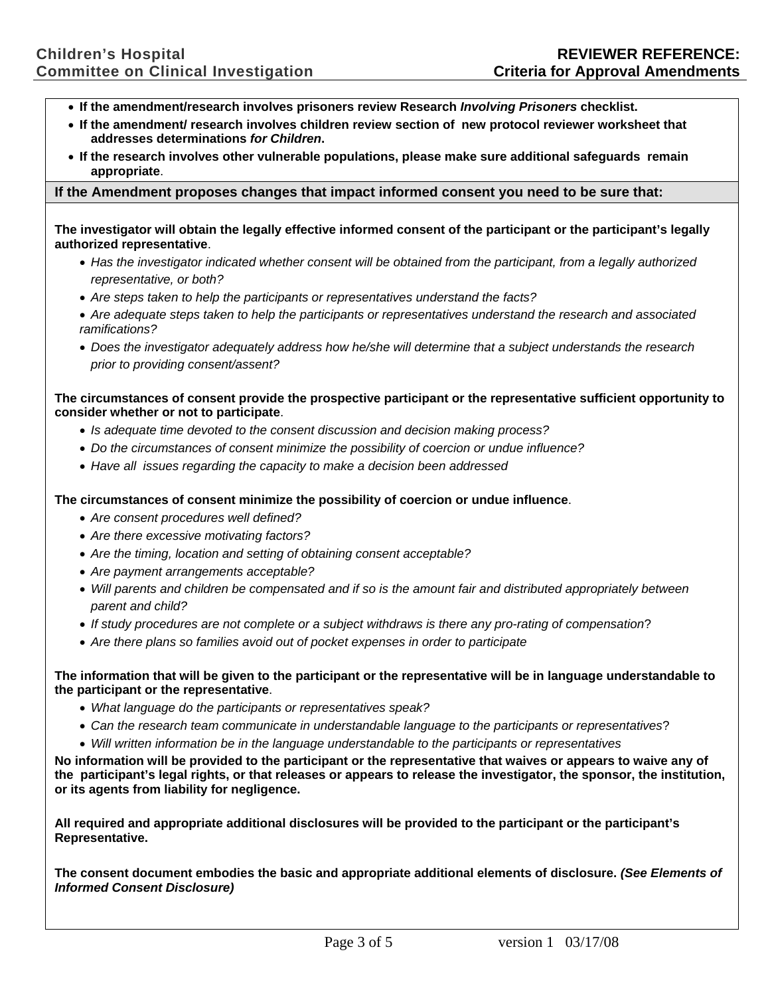- **If the amendment/research involves prisoners review Research** *Involving Prisoners* **checklist.**
- **If the amendment/ research involves children review section of new protocol reviewer worksheet that addresses determinations** *for Children***.**
- **If the research involves other vulnerable populations, please make sure additional safeguards remain appropriate**.

## **If the Amendment proposes changes that impact informed consent you need to be sure that:**

**The investigator will obtain the legally effective informed consent of the participant or the participant's legally authorized representative**.

- *Has the investigator indicated whether consent will be obtained from the participant, from a legally authorized representative, or both?*
- *Are steps taken to help the participants or representatives understand the facts?*
- *Are adequate steps taken to help the participants or representatives understand the research and associated ramifications?*
- *Does the investigator adequately address how he/she will determine that a subject understands the research prior to providing consent/assent?*

**The circumstances of consent provide the prospective participant or the representative sufficient opportunity to consider whether or not to participate**.

- *Is adequate time devoted to the consent discussion and decision making process?*
- *Do the circumstances of consent minimize the possibility of coercion or undue influence?*
- *Have all issues regarding the capacity to make a decision been addressed*

**The circumstances of consent minimize the possibility of coercion or undue influence**.

- *Are consent procedures well defined?*
- *Are there excessive motivating factors?*
- *Are the timing, location and setting of obtaining consent acceptable?*
- *Are payment arrangements acceptable?*
- *Will parents and children be compensated and if so is the amount fair and distributed appropriately between parent and child?*
- *If study procedures are not complete or a subject withdraws is there any pro-rating of compensation*?
- *Are there plans so families avoid out of pocket expenses in order to participate*

**The information that will be given to the participant or the representative will be in language understandable to the participant or the representative**.

- *What language do the participants or representatives speak?*
- *Can the research team communicate in understandable language to the participants or representatives*?
- *Will written information be in the language understandable to the participants or representatives*

**No information will be provided to the participant or the representative that waives or appears to waive any of the participant's legal rights, or that releases or appears to release the investigator, the sponsor, the institution, or its agents from liability for negligence.** 

**All required and appropriate additional disclosures will be provided to the participant or the participant's Representative.** 

**The consent document embodies the basic and appropriate additional elements of disclosure.** *(See Elements of Informed Consent Disclosure)*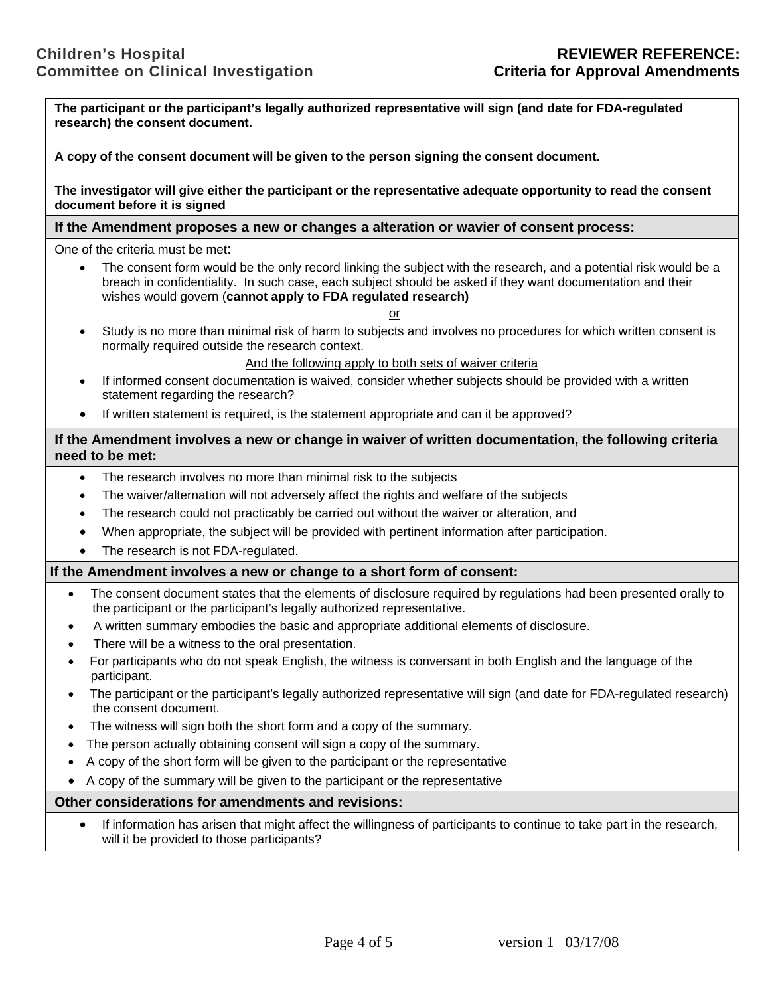**The participant or the participant's legally authorized representative will sign (and date for FDA-regulated research) the consent document. A copy of the consent document will be given to the person signing the consent document. The investigator will give either the participant or the representative adequate opportunity to read the consent document before it is signed If the Amendment proposes a new or changes a alteration or wavier of consent process:** One of the criteria must be met: The consent form would be the only record linking the subject with the research, and a potential risk would be a breach in confidentiality. In such case, each subject should be asked if they want documentation and their wishes would govern (**cannot apply to FDA regulated research)** or • Study is no more than minimal risk of harm to subjects and involves no procedures for which written consent is normally required outside the research context. And the following apply to both sets of waiver criteria • If informed consent documentation is waived, consider whether subjects should be provided with a written statement regarding the research? • If written statement is required, is the statement appropriate and can it be approved? **If the Amendment involves a new or change in waiver of written documentation, the following criteria need to be met:** The research involves no more than minimal risk to the subjects • The waiver/alternation will not adversely affect the rights and welfare of the subjects • The research could not practicably be carried out without the waiver or alteration, and • When appropriate, the subject will be provided with pertinent information after participation. The research is not FDA-regulated. **If the Amendment involves a new or change to a short form of consent:**  • The consent document states that the elements of disclosure required by regulations had been presented orally to the participant or the participant's legally authorized representative. • A written summary embodies the basic and appropriate additional elements of disclosure. There will be a witness to the oral presentation. • For participants who do not speak English, the witness is conversant in both English and the language of the participant. • The participant or the participant's legally authorized representative will sign (and date for FDA-regulated research) the consent document. The witness will sign both the short form and a copy of the summary. The person actually obtaining consent will sign a copy of the summary. • A copy of the short form will be given to the participant or the representative • A copy of the summary will be given to the participant or the representative **Other considerations for amendments and revisions:**  • If information has arisen that might affect the willingness of participants to continue to take part in the research, will it be provided to those participants?